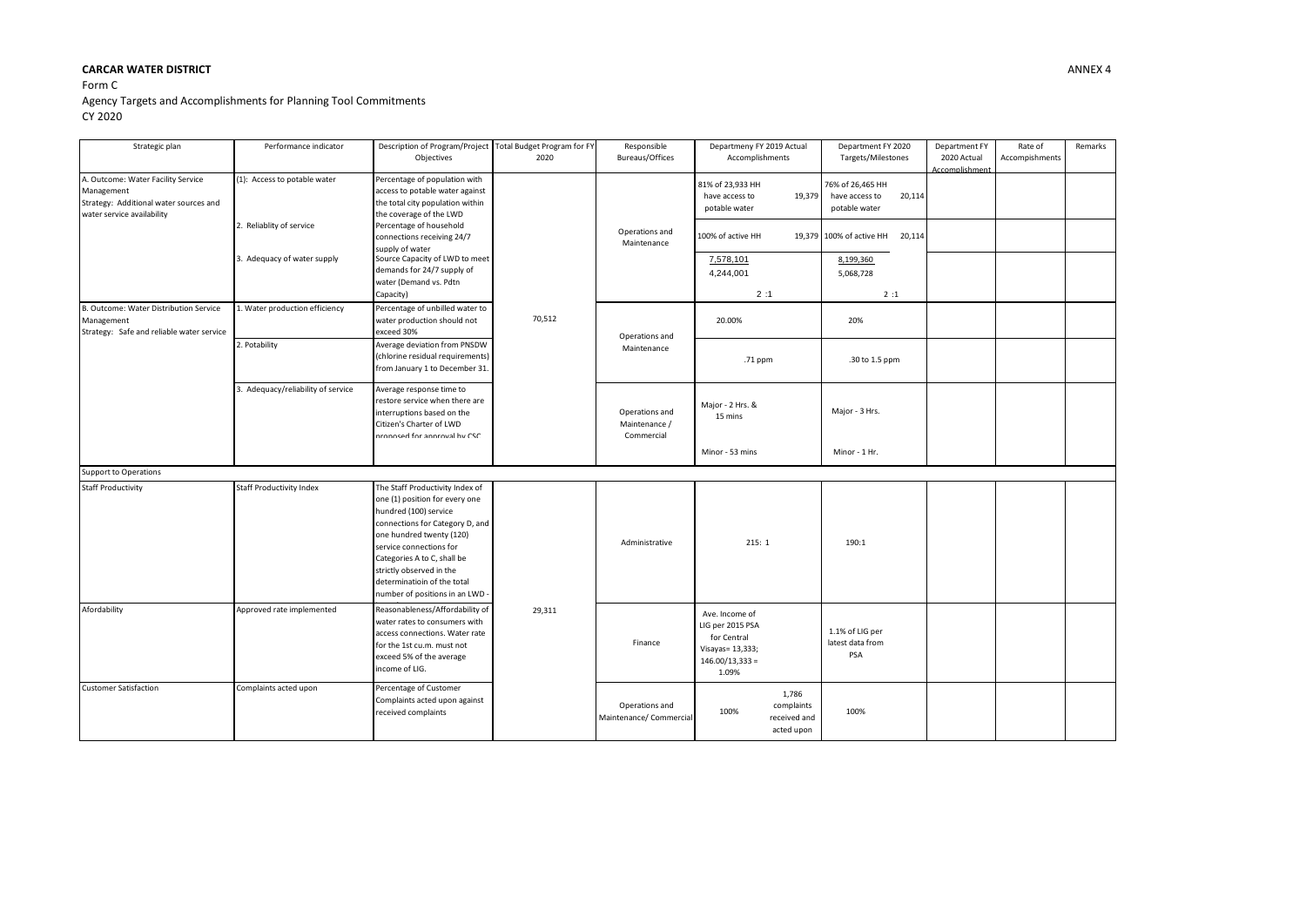## **CARCAR WATER DISTRICT** ANNEX 4

## Form C Agency Targets and Accomplishments for Planning Tool Commitments CY 2020

| Strategic plan                                                                                                           | Performance indicator              | Description of Program/Project Total Budget Program for FY<br>Objectives                                                                                                                                                                                                                                          | 2020   | Responsible<br>Bureaus/Offices                | Departmeny FY 2019 Actual<br>Accomplishments                                                        | Department FY 2020<br>Targets/Milestones                      | Department FY<br>2020 Actual<br>Accomplishment | Rate of<br>Accompishments | Remarks |
|--------------------------------------------------------------------------------------------------------------------------|------------------------------------|-------------------------------------------------------------------------------------------------------------------------------------------------------------------------------------------------------------------------------------------------------------------------------------------------------------------|--------|-----------------------------------------------|-----------------------------------------------------------------------------------------------------|---------------------------------------------------------------|------------------------------------------------|---------------------------|---------|
| A. Outcome: Water Facility Service<br>Management<br>Strategy: Additional water sources and<br>water service availability | (1): Access to potable water       | Percentage of population with<br>access to potable water against<br>the total city population within<br>the coverage of the LWD                                                                                                                                                                                   | 70,512 | Operations and<br>Maintenance                 | 81% of 23,933 HH<br>19,379<br>have access to<br>potable water                                       | 76% of 26,465 HH<br>have access to<br>20,114<br>potable water |                                                |                           |         |
|                                                                                                                          | 2. Reliablity of service           | Percentage of household<br>connections receiving 24/7<br>supply of water                                                                                                                                                                                                                                          |        |                                               | 100% of active HH                                                                                   | 19,379 100% of active HH<br>20,114                            |                                                |                           |         |
|                                                                                                                          | 3. Adequacy of water supply        | Source Capacity of LWD to meet<br>demands for 24/7 supply of<br>water (Demand vs. Pdtn<br>Capacity)                                                                                                                                                                                                               |        |                                               | 7,578,101<br>4,244,001<br>2:1                                                                       | 8,199,360<br>5,068,728<br>2:1                                 |                                                |                           |         |
| B. Outcome: Water Distribution Service<br>Management<br>Strategy: Safe and reliable water service                        | L. Water production efficiency     | Percentage of unbilled water to<br>water production should not<br>exceed 30%                                                                                                                                                                                                                                      |        | Operations and<br>Maintenance                 | 20.00%                                                                                              | 20%                                                           |                                                |                           |         |
|                                                                                                                          | 2. Potability                      | Average deviation from PNSDW<br>(chlorine residual requirements)<br>from January 1 to December 31.                                                                                                                                                                                                                |        |                                               | .71 ppm                                                                                             | .30 to 1.5 ppm                                                |                                                |                           |         |
|                                                                                                                          | 3. Adequacy/reliability of service | Average response time to<br>restore service when there are<br>interruptions based on the<br>Citizen's Charter of LWD<br>nronosed for annroval by CSC                                                                                                                                                              |        | Operations and<br>Maintenance /<br>Commercial | Major - 2 Hrs. &<br>15 mins                                                                         | Major - 3 Hrs.                                                |                                                |                           |         |
|                                                                                                                          |                                    |                                                                                                                                                                                                                                                                                                                   |        |                                               | Minor - 53 mins                                                                                     | Minor - 1 Hr.                                                 |                                                |                           |         |
| Support to Operations                                                                                                    |                                    |                                                                                                                                                                                                                                                                                                                   |        |                                               |                                                                                                     |                                                               |                                                |                           |         |
| <b>Staff Productivity</b>                                                                                                | Staff Productivity Index           | The Staff Productivity Index of<br>one (1) position for every one<br>hundred (100) service<br>connections for Category D, and<br>one hundred twenty (120)<br>service connections for<br>Categories A to C, shall be<br>strictly observed in the<br>determinatioin of the total<br>number of positions in an LWD - |        | Administrative                                | 215:1                                                                                               | 190:1                                                         |                                                |                           |         |
| Afordability                                                                                                             | Approved rate implemented          | Reasonableness/Affordability of<br>water rates to consumers with<br>access connections. Water rate<br>for the 1st cu.m. must not<br>exceed 5% of the average<br>income of LIG.                                                                                                                                    | 29,311 | Finance                                       | Ave. Income of<br>LIG per 2015 PSA<br>for Central<br>Visayas= 13,333;<br>$146.00/13,333 =$<br>1.09% | 1.1% of LIG per<br>latest data from<br><b>PSA</b>             |                                                |                           |         |
| <b>Customer Satisfaction</b>                                                                                             | Complaints acted upon              | Percentage of Customer<br>Complaints acted upon against<br>received complaints                                                                                                                                                                                                                                    |        | Operations and<br>Maintenance/ Commercial     | 1,786<br>complaints<br>100%<br>received and<br>acted upon                                           | 100%                                                          |                                                |                           |         |